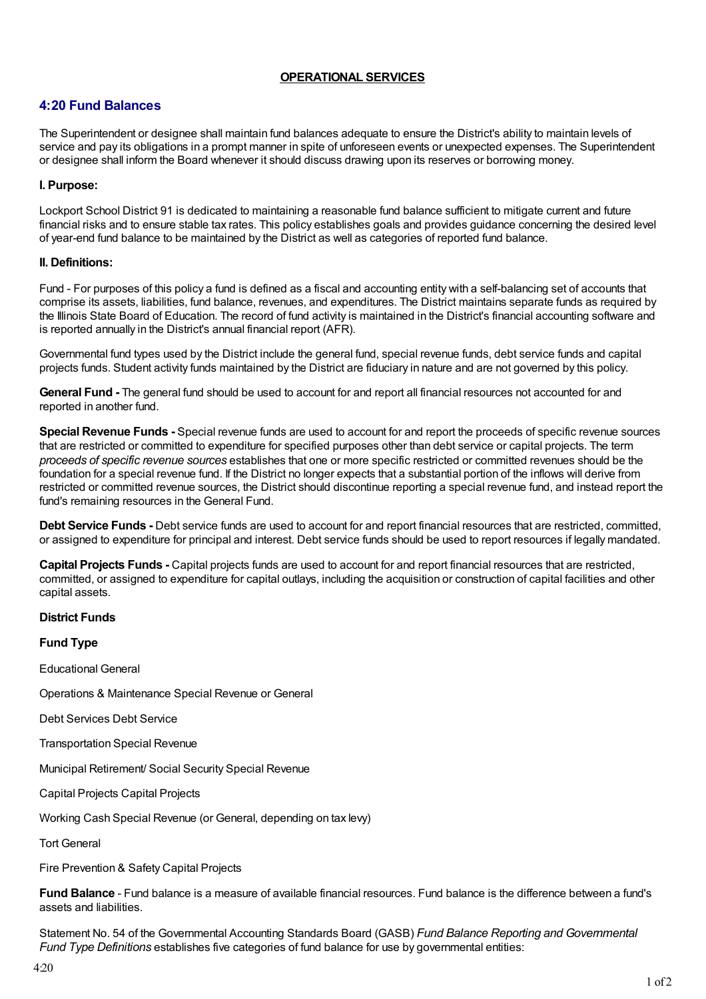## **OPERATIONAL SERVICES**

# **4:20 Fund Balances**

The Superintendent or designee shall maintain fund balances adequate to ensure the District's ability to maintain levels of service and pay its obligations in a prompt manner in spite of unforeseen events or unexpected expenses. The Superintendent or designee shall inform the Board whenever it should discuss drawing upon its reserves or borrowing money.

## **I. Purpose:**

Lockport School District 91 is dedicated to maintaining a reasonable fund balance sufficient to mitigate current and future financial risks and to ensure stable tax rates. This policy establishes goals and provides guidance concerning the desired level of year-end fund balance to be maintained by the District as well as categories of reported fund balance.

#### **II. Definitions:**

Fund - For purposes of this policy a fund is defined as a fiscal and accounting entity with a self-balancing set of accounts that comprise its assets, liabilities, fund balance, revenues, and expenditures. The District maintains separate funds as required by the Illinois State Board of Education. The record of fund activity is maintained in the District's financial accounting software and is reported annually in the District's annual financial report (AFR).

Governmental fund types used by the District include the general fund, special revenue funds, debt service funds and capital projects funds. Student activity funds maintained by the District are fiduciary in nature and are not governed by this policy.

**General Fund -** The general fund should be used to account for and report all financial resources not accounted for and reported in another fund.

**Special Revenue Funds -** Special revenue funds are used to account for and report the proceeds of specific revenue sources that are restricted or committed to expenditure for specified purposes other than debt service or capital projects. The term *proceeds of specific revenue sources* establishes that one or more specific restricted or committed revenues should be the foundation for a special revenue fund. If the District no longer expects that a substantial portion of the inflows will derive from restricted or committed revenue sources, the District should discontinue reporting a special revenue fund, and instead report the fund's remaining resources in the General Fund.

**Debt Service Funds -** Debt service funds are used to account for and report financial resources that are restricted, committed, or assigned to expenditure for principal and interest. Debt service funds should be used to report resources if legally mandated.

**Capital Projects Funds -** Capital projects funds are used to account for and report financial resources that are restricted, committed, or assigned to expenditure for capital outlays, including the acquisition or construction of capital facilities and other capital assets.

## **District Funds**

**Fund Type**

Educational General

Operations & Maintenance Special Revenue or General

Debt Services Debt Service

Transportation Special Revenue

Municipal Retirement/ Social Security Special Revenue

Capital Projects Capital Projects

Working Cash Special Revenue (or General, depending on tax levy)

Tort General

Fire Prevention & Safety Capital Projects

**Fund Balance** - Fund balance is a measure of available financial resources. Fund balance is the difference between a fund's assets and liabilities.

Statement No. 54 of the Governmental Accounting Standards Board (GASB) *Fund Balance Reporting and Governmental Fund Type Definitions* establishes five categories of fund balance for use by governmental entities: